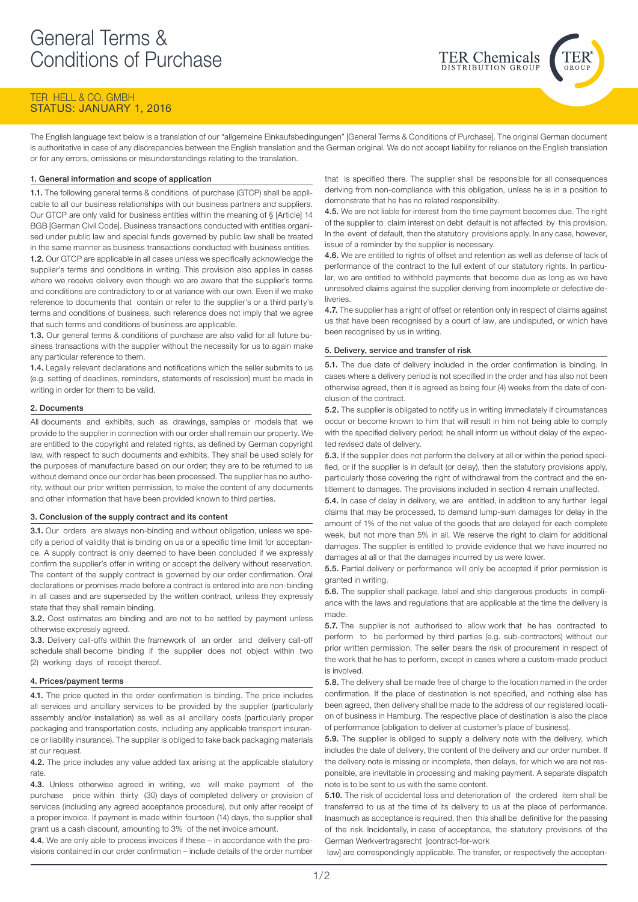# TER HELL & CO. GMBH STATUS: JANUARY 1, 2016

The English language text below is a translation of our "allgemeine Einkaufsbedingungen" [General Terms & Conditions of Purchase]. The original German document is authoritative in case of any discrepancies between the English translation and the German original. We do not accept liability for reliance on the English translation or for any errors, omissions or misunderstandings relating to the translation.

# 1. General information and scope of application

1.1. The following general terms & conditions of purchase (GTCP) shall be applicable to all our business relationships with our business partners and suppliers. Our GTCP are only valid for business entities within the meaning of § [Article] 14 BGB [German Civil Code]. Business transactions conducted with entities organised under public law and special funds governed by public law shall be treated in the same manner as business transactions conducted with business entities. 1.2. Our GTCP are applicable in all cases unless we specifically acknowledge the supplier's terms and conditions in writing. This provision also applies in cases where we receive delivery even though we are aware that the supplier's terms and conditions are contradictory to or at variance with our own. Even if we make reference to documents that contain or refer to the supplier's or a third party's terms and conditions of business, such reference does not imply that we agree that such terms and conditions of business are applicable.

1.3. Our general terms & conditions of purchase are also valid for all future business transactions with the supplier without the necessity for us to again make any particular reference to them.

1.4. Legally relevant declarations and notifications which the seller submits to us (e.g. setting of deadlines, reminders, statements of rescission) must be made in writing in order for them to be valid.

### 2. Documents

All documents and exhibits, such as drawings, samples or models that we provide to the supplier in connection with our order shall remain our property. We are entitled to the copyright and related rights, as defined by German copyright law, with respect to such documents and exhibits. They shall be used solely for the purposes of manufacture based on our order; they are to be returned to us without demand once our order has been processed. The supplier has no authority, without our prior written permission, to make the content of any documents and other information that have been provided known to third parties.

# 3. Conclusion of the supply contract and its content

3.1. Our orders are always non-binding and without obligation, unless we specify a period of validity that is binding on us or a specific time limit for acceptance. A supply contract is only deemed to have been concluded if we expressly confirm the supplier's offer in writing or accept the delivery without reservation. The content of the supply contract is governed by our order confirmation. Oral declarations or promises made before a contract is entered into are non-binding in all cases and are superseded by the written contract, unless they expressly state that they shall remain binding.

3.2. Cost estimates are binding and are not to be settled by payment unless otherwise expressly agreed.

3.3. Delivery call-offs within the framework of an order and delivery call-off schedule shall become binding if the supplier does not object within two (2) working days of receipt thereof.

### 4. Prices/payment terms

4.1. The price quoted in the order confirmation is binding. The price includes all services and ancillary services to be provided by the supplier (particularly assembly and/or installation) as well as all ancillary costs (particularly proper packaging and transportation costs, including any applicable transport insurance or liability insurance). The supplier is obliged to take back packaging materials at our request.

4.2. The price includes any value added tax arising at the applicable statutory rate.

4.3. Unless otherwise agreed in writing, we will make payment of the purchase price within thirty (30) days of completed delivery or provision of services (including any agreed acceptance procedure), but only after receipt of a proper invoice. If payment is made within fourteen (14) days, the supplier shall grant us a cash discount, amounting to 3% of the net invoice amount.

4.4. We are only able to process invoices if these – in accordance with the provisions contained in our order confirmation – include details of the order number

that is specified there. The supplier shall be responsible for all consequences deriving from non-compliance with this obligation, unless he is in a position to demonstrate that he has no related responsibility.

**TER Chemicals** 

4.5. We are not liable for interest from the time payment becomes due. The right of the supplier to claim interest on debt default is not affected by this provision. In the event of default, then the statutory provisions apply. In any case, however, issue of a reminder by the supplier is necessary.

4.6. We are entitled to rights of offset and retention as well as defense of lack of performance of the contract to the full extent of our statutory rights. In particular, we are entitled to withhold payments that become due as long as we have unresolved claims against the supplier deriving from incomplete or defective deliveries.

4.7. The supplier has a right of offset or retention only in respect of claims against us that have been recognised by a court of law, are undisputed, or which have been recognised by us in writing.

### 5. Delivery, service and transfer of risk

5.1. The due date of delivery included in the order confirmation is binding. In cases where a delivery period is not specified in the order and has also not been otherwise agreed, then it is agreed as being four (4) weeks from the date of conclusion of the contract.

5.2. The supplier is obligated to notify us in writing immediately if circumstances occur or become known to him that will result in him not being able to comply with the specified delivery period; he shall inform us without delay of the expected revised date of delivery.

5.3. If the supplier does not perform the delivery at all or within the period specified, or if the supplier is in default (or delay), then the statutory provisions apply, particularly those covering the right of withdrawal from the contract and the entitlement to damages. The provisions included in section 4 remain unaffected.

5.4. In case of delay in delivery, we are entitled, in addition to any further legal claims that may be processed, to demand lump-sum damages for delay in the amount of 1% of the net value of the goods that are delayed for each complete week, but not more than 5% in all. We reserve the right to claim for additional damages. The supplier is entitled to provide evidence that we have incurred no damages at all or that the damages incurred by us were lower.

5.5. Partial delivery or performance will only be accepted if prior permission is granted in writing.

5.6. The supplier shall package, label and ship dangerous products in compliance with the laws and regulations that are applicable at the time the delivery is made.

5.7. The supplier is not authorised to allow work that he has contracted to perform to be performed by third parties (e.g. sub-contractors) without our prior written permission. The seller bears the risk of procurement in respect of the work that he has to perform, except in cases where a custom-made product is involved.

5.8. The delivery shall be made free of charge to the location named in the order confirmation. If the place of destination is not specified, and nothing else has been agreed, then delivery shall be made to the address of our registered location of business in Hamburg. The respective place of destination is also the place of performance (obligation to deliver at customer's place of business).

5.9. The supplier is obliged to supply a delivery note with the delivery, which includes the date of delivery, the content of the delivery and our order number. If the delivery note is missing or incomplete, then delays, for which we are not responsible, are inevitable in processing and making payment. A separate dispatch note is to be sent to us with the same content.

5.10. The risk of accidental loss and deterioration of the ordered item shall be transferred to us at the time of its delivery to us at the place of performance. Inasmuch as acceptance is required, then this shall be definitive for the passing of the risk. Incidentally, in case of acceptance, the statutory provisions of the German Werkvertragsrecht [contract-for-work

law] are correspondingly applicable. The transfer, or respectively the acceptan-